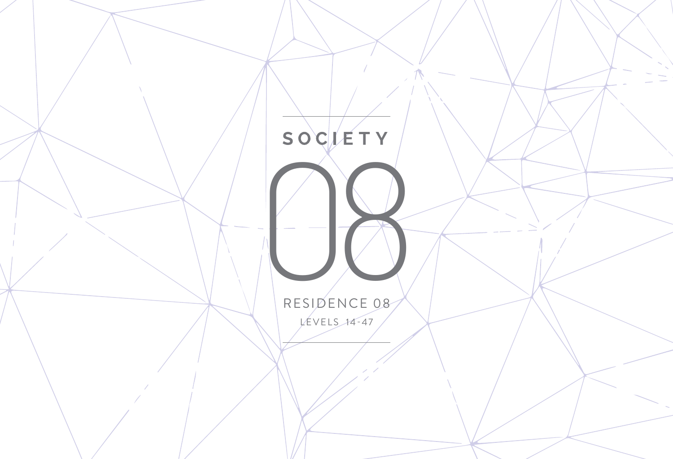